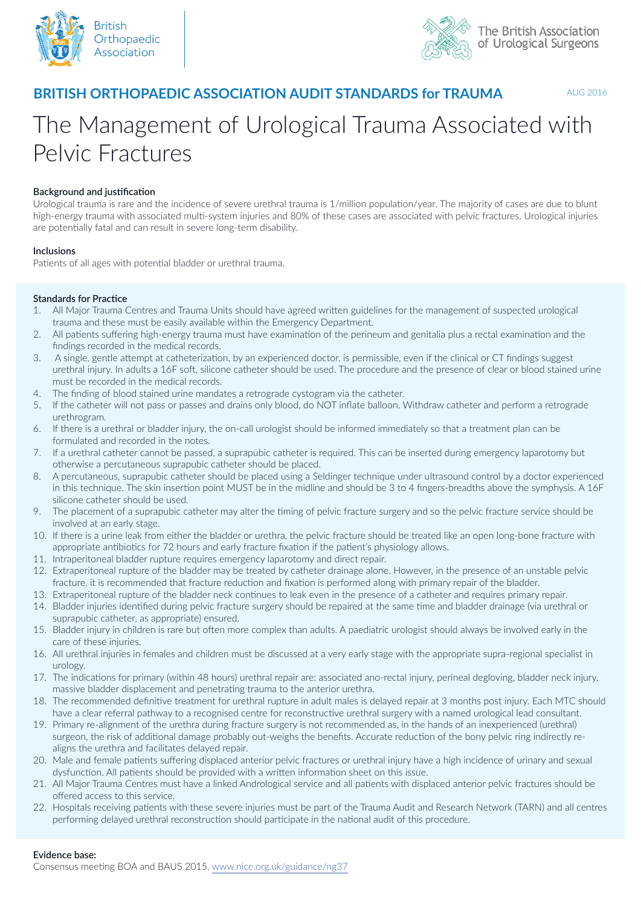



# **BRITISH ORTHOPAEDIC ASSOCIATION AUDIT STANDARDS for TRAUMA**

AUG 2016

# The Management of Urological Trauma Associated with Pelvic Fractures

## **Background and justification**

Urological trauma is rare and the incidence of severe urethral trauma is 1/million population/year. The majority of cases are due to blunt high-energy trauma with associated multi-system injuries and 80% of these cases are associated with pelvic fractures. Urological injuries are potentially fatal and can result in severe long-term disability.

#### **Inclusions**

Patients of all ages with potential bladder or urethral trauma.

#### **Standards for Practice**

- 1. All Major Trauma Centres and Trauma Units should have agreed written guidelines for the management of suspected urological trauma and these must be easily available within the Emergency Department.
- 2. All patients suffering high-energy trauma must have examination of the perineum and genitalia plus a rectal examination and the findings recorded in the medical records.
- 3. A single, gentle attempt at catheterization, by an experienced doctor, is permissible, even if the clinical or CT findings suggest urethral injury. In adults a 16F soft, silicone catheter should be used. The procedure and the presence of clear or blood stained urine must be recorded in the medical records.
- 4. The finding of blood stained urine mandates a retrograde cystogram via the catheter.
- 5. If the catheter will not pass or passes and drains only blood, do NOT inflate balloon. Withdraw catheter and perform a retrograde urethrogram.
- 6. If there is a urethral or bladder injury, the on-call urologist should be informed immediately so that a treatment plan can be formulated and recorded in the notes.
- 7. If a urethral catheter cannot be passed, a suprapubic catheter is required. This can be inserted during emergency laparotomy but otherwise a percutaneous suprapubic catheter should be placed.
- 8. A percutaneous, suprapubic catheter should be placed using a Seldinger technique under ultrasound control by a doctor experienced in this technique. The skin insertion point MUST be in the midline and should be 3 to 4 fingers-breadths above the symphysis. A 16F silicone catheter should be used.
- 9. The placement of a suprapubic catheter may alter the timing of pelvic fracture surgery and so the pelvic fracture service should be involved at an early stage.
- 10. If there is a urine leak from either the bladder or urethra, the pelvic fracture should be treated like an open long-bone fracture with appropriate antibiotics for 72 hours and early fracture fixation if the patient's physiology allows.
- 11. Intraperitoneal bladder rupture requires emergency laparotomy and direct repair.
- 12. Extraperitoneal rupture of the bladder may be treated by catheter drainage alone. However, in the presence of an unstable pelvic fracture, it is recommended that fracture reduction and fixation is performed along with primary repair of the bladder.
- 13. Extraperitoneal rupture of the bladder neck continues to leak even in the presence of a catheter and requires primary repair.
- 14. Bladder injuries identified during pelvic fracture surgery should be repaired at the same time and bladder drainage (via urethral or suprapubic catheter, as appropriate) ensured.
- 15. Bladder injury in children is rare but often more complex than adults. A paediatric urologist should always be involved early in the care of these injuries.
- 16. All urethral injuries in females and children must be discussed at a very early stage with the appropriate supra-regional specialist in urology.
- 17. The indications for primary (within 48 hours) urethral repair are: associated ano-rectal injury, perineal degloving, bladder neck injury, massive bladder displacement and penetrating trauma to the anterior urethra.
- 18. The recommended definitive treatment for urethral rupture in adult males is delayed repair at 3 months post injury. Each MTC should have a clear referral pathway to a recognised centre for reconstructive urethral surgery with a named urological lead consultant.
- 19. Primary re-alignment of the urethra during fracture surgery is not recommended as, in the hands of an inexperienced (urethral) surgeon, the risk of additional damage probably out-weighs the benefits. Accurate reduction of the bony pelvic ring indirectly realigns the urethra and facilitates delayed repair.
- 20. Male and female patients suffering displaced anterior pelvic fractures or urethral injury have a high incidence of urinary and sexual dysfunction. All patients should be provided with a written information sheet on this issue.
- 21. All Major Trauma Centres must have a linked Andrological service and all patients with displaced anterior pelvic fractures should be offered access to this service.
- 22. Hospitals receiving patients with these severe injuries must be part of the Trauma Audit and Research Network (TARN) and all centres performing delayed urethral reconstruction should participate in the national audit of this procedure.

#### **Evidence base:**

Consensus meeting BOA and BAUS 2015. www.nice.org.uk/guidance/ng37